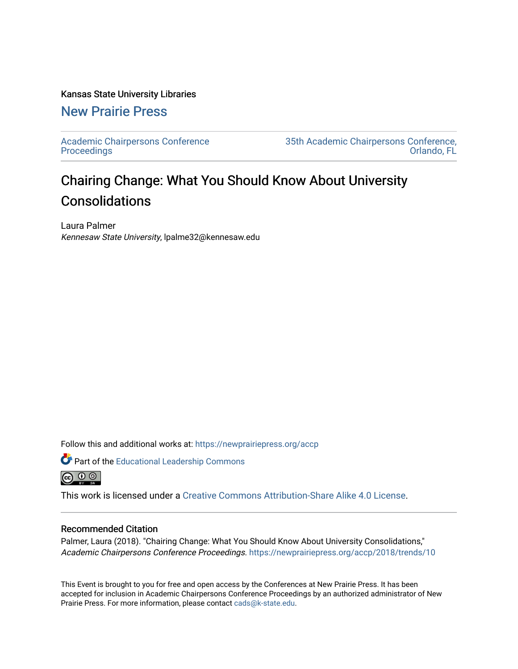### Kansas State University Libraries

### [New Prairie Press](https://newprairiepress.org/)

[Academic Chairpersons Conference](https://newprairiepress.org/accp)  **Proceedings** 

[35th Academic Chairpersons Conference,](https://newprairiepress.org/accp/2018)  [Orlando, FL](https://newprairiepress.org/accp/2018) 

# Chairing Change: What You Should Know About University **Consolidations**

Laura Palmer Kennesaw State University, lpalme32@kennesaw.edu

Follow this and additional works at: [https://newprairiepress.org/accp](https://newprairiepress.org/accp?utm_source=newprairiepress.org%2Faccp%2F2018%2Ftrends%2F10&utm_medium=PDF&utm_campaign=PDFCoverPages) 

**Part of the Educational Leadership Commons**  $\bigcirc$   $\bigcirc$   $\bigcirc$ 

This work is licensed under a [Creative Commons Attribution-Share Alike 4.0 License.](https://creativecommons.org/licenses/by-sa/4.0/)

#### Recommended Citation

Palmer, Laura (2018). "Chairing Change: What You Should Know About University Consolidations," Academic Chairpersons Conference Proceedings. <https://newprairiepress.org/accp/2018/trends/10>

This Event is brought to you for free and open access by the Conferences at New Prairie Press. It has been accepted for inclusion in Academic Chairpersons Conference Proceedings by an authorized administrator of New Prairie Press. For more information, please contact [cads@k-state.edu.](mailto:cads@k-state.edu)